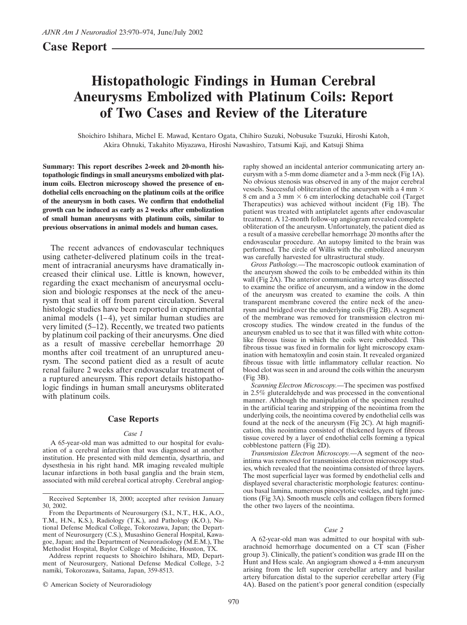# **Case Report**

# **Histopathologic Findings in Human Cerebral Aneurysms Embolized with Platinum Coils: Report of Two Cases and Review of the Literature**

Shoichiro Ishihara, Michel E. Mawad, Kentaro Ogata, Chihiro Suzuki, Nobusuke Tsuzuki, Hiroshi Katoh, Akira Ohnuki, Takahito Miyazawa, Hiroshi Nawashiro, Tatsumi Kaji, and Katsuji Shima

**Summary: This report describes 2-week and 20-month histopathologic findings in small aneurysms embolized with platinum coils. Electron microscopy showed the presence of endothelial cells encroaching on the platinum coils at the orifice of the aneurysm in both cases. We confirm that endothelial growth can be induced as early as 2 weeks after embolization of small human aneurysms with platinum coils, similar to previous observations in animal models and human cases.**

The recent advances of endovascular techniques using catheter-delivered platinum coils in the treatment of intracranial aneurysms have dramatically increased their clinical use. Little is known, however, regarding the exact mechanism of aneurysmal occlusion and biologic responses at the neck of the aneurysm that seal it off from parent circulation. Several histologic studies have been reported in experimental animal models (1–4), yet similar human studies are very limited (5–12). Recently, we treated two patients by platinum coil packing of their aneurysms. One died as a result of massive cerebellar hemorrhage 20 months after coil treatment of an unruptured aneurysm. The second patient died as a result of acute renal failure 2 weeks after endovascular treatment of a ruptured aneurysm. This report details histopathologic findings in human small aneurysms obliterated with platinum coils.

# **Case Reports**

#### *Case 1*

A 65-year-old man was admitted to our hospital for evaluation of a cerebral infarction that was diagnosed at another institution. He presented with mild dementia, dysarthria, and dysesthesia in his right hand. MR imaging revealed multiple lacunar infarctions in both basal ganglia and the brain stem, associated with mild cerebral cortical atrophy. Cerebral angiog-

Address reprint requests to Shoichiro Ishihara, MD, Department of Neurosurgery, National Defense Medical College, 3-2 namiki, Tokorozawa, Saitama, Japan, 359-8513.

© American Society of Neuroradiology

raphy showed an incidental anterior communicating artery aneurysm with a 5-mm dome diameter and a 3-mm neck (Fig 1A). No obvious stenosis was observed in any of the major cerebral vessels. Successful obliteration of the aneurysm with a 4 mm  $\times$ 8 cm and a 3 mm  $\times$  6 cm interlocking detachable coil (Target Therapeutics) was achieved without incident (Fig 1B). The patient was treated with antiplatelet agents after endovascular treatment. A 12-month follow-up angiogram revealed complete obliteration of the aneurysm. Unfortunately, the patient died as a result of a massive cerebellar hemorrhage 20 months after the endovascular procedure. An autopsy limited to the brain was performed. The circle of Willis with the embolized aneurysm was carefully harvested for ultrastructural study.

*Gross Pathology.—*The macroscopic outlook examination of the aneurysm showed the coils to be embedded within its thin wall (Fig 2A). The anterior communicating artery was dissected to examine the orifice of aneurysm, and a window in the dome of the aneurysm was created to examine the coils. A thin transparent membrane covered the entire neck of the aneurysm and bridged over the underlying coils (Fig 2B). A segment of the membrane was removed for transmission electron microscopy studies. The window created in the fundus of the aneurysm enabled us to see that it was filled with white cottonlike fibrous tissue in which the coils were embedded. This fibrous tissue was fixed in formalin for light microscopy examination with hematoxylin and eosin stain. It revealed organized fibrous tissue with little inflammatory cellular reaction. No blood clot was seen in and around the coils within the aneurysm (Fig 3B).

*Scanning Electron Microscopy.—*The specimen was postfixed in 2.5% gluteraldehyde and was processed in the conventional manner. Although the manipulation of the specimen resulted in the artificial tearing and stripping of the neointima from the underlying coils, the neointima covered by endothelial cells was found at the neck of the aneurysm (Fig 2C). At high magnification, this neointima consisted of thickened layers of fibrous tissue covered by a layer of endothelial cells forming a typical cobblestone pattern (Fig 2D).

*Transmission Electron Microscopy.—*A segment of the neointima was removed for transmission electron microscopy studies, which revealed that the neointima consisted of three layers. The most superficial layer was formed by endothelial cells and displayed several characteristic morphologic features: continuous basal lamina, numerous pinocytotic vesicles, and tight junctions (Fig 3A). Smooth muscle cells and collagen fibers formed the other two layers of the neointima.

#### *Case 2*

A 62-year-old man was admitted to our hospital with subarachnoid hemorrhage documented on a CT scan (Fisher group 3). Clinically, the patient's condition was grade III on the Hunt and Hess scale. An angiogram showed a 4-mm aneurysm arising from the left superior cerebellar artery and basilar artery bifurcation distal to the superior cerebellar artery (Fig 4A). Based on the patient's poor general condition (especially

Received September 18, 2000; accepted after revision January 30, 2002.

From the Departments of Neurosurgery (S.I., N.T., H.K., A.O., T.M., H.N., K.S.), Radiology (T.K.), and Pathology (K.O.), National Defense Medical College, Tokorozawa, Japan; the Department of Neurosurgery (C.S.), Musashino General Hospital, Kawagoe, Japan; and the Department of Neuroradiology (M.E.M.), The Methodist Hospital, Baylor College of Medicine, Houston, TX.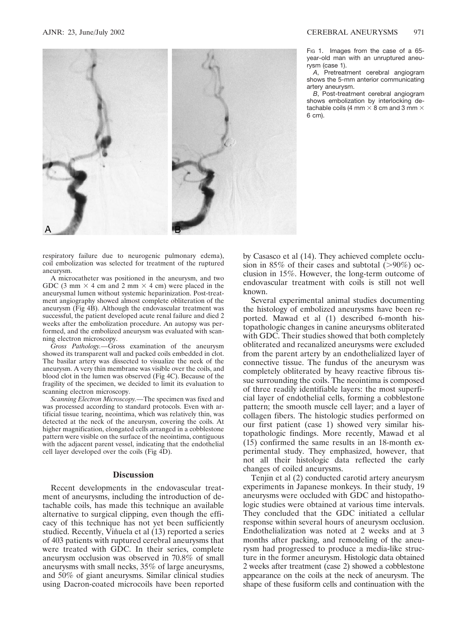

respiratory failure due to neurogenic pulmonary edema), coil embolization was selected for treatment of the ruptured aneurysm.

A microcatheter was positioned in the aneurysm, and two GDC (3 mm  $\times$  4 cm and 2 mm  $\times$  4 cm) were placed in the aneurysmal lumen without systemic heparinization. Post-treatment angiography showed almost complete obliteration of the aneurysm (Fig 4B). Although the endovascular treatment was successful, the patient developed acute renal failure and died 2 weeks after the embolization procedure. An autopsy was performed, and the embolized aneurysm was evaluated with scanning electron microscopy.

*Gross Pathology.—*Gross examination of the aneurysm showed its transparent wall and packed coils embedded in clot. The basilar artery was dissected to visualize the neck of the aneurysm. A very thin membrane was visible over the coils, and blood clot in the lumen was observed (Fig 4C). Because of the fragility of the specimen, we decided to limit its evaluation to scanning electron microscopy.

*Scanning Electron Microscopy.—*The specimen was fixed and was processed according to standard protocols. Even with artificial tissue tearing, neointima, which was relatively thin, was detected at the neck of the aneurysm, covering the coils. At higher magnification, elongated cells arranged in a cobblestone pattern were visible on the surface of the neointima, contiguous with the adjacent parent vessel, indicating that the endothelial cell layer developed over the coils (Fig 4D).

## **Discussion**

Recent developments in the endovascular treatment of aneurysms, including the introduction of detachable coils, has made this technique an available alternative to surgical clipping, even though the efficacy of this technique has not yet been sufficiently studied. Recently, Viñuela et al (13) reported a series of 403 patients with ruptured cerebral aneurysms that were treated with GDC. In their series, complete aneurysm occlusion was observed in 70.8% of small aneurysms with small necks, 35% of large aneurysms, and 50% of giant aneurysms. Similar clinical studies using Dacron-coated microcoils have been reported Fig 1. Images from the case of a 65year-old man with an unruptured aneurysm (case 1).

*A*, Pretreatment cerebral angiogram shows the 5-mm anterior communicating artery aneurysm.

*B*, Post-treatment cerebral angiogram shows embolization by interlocking detachable coils (4 mm  $\times$  8 cm and 3 mm  $\times$ 6 cm).

by Casasco et al (14). They achieved complete occlusion in 85% of their cases and subtotal  $(>90\%)$  occlusion in 15%. However, the long-term outcome of endovascular treatment with coils is still not well known.

Several experimental animal studies documenting the histology of embolized aneurysms have been reported. Mawad et al (1) described 6-month histopathologic changes in canine aneurysms obliterated with GDC. Their studies showed that both completely obliterated and recanalized aneurysms were excluded from the parent artery by an endothelialized layer of connective tissue. The fundus of the aneurysm was completely obliterated by heavy reactive fibrous tissue surrounding the coils. The neointima is composed of three readily identifiable layers: the most superficial layer of endothelial cells, forming a cobblestone pattern; the smooth muscle cell layer; and a layer of collagen fibers. The histologic studies performed on our first patient (case 1) showed very similar histopathologic findings. More recently, Mawad et al (15) confirmed the same results in an 18-month experimental study. They emphasized, however, that not all their histologic data reflected the early changes of coiled aneurysms.

Tenjin et al (2) conducted carotid artery aneurysm experiments in Japanese monkeys. In their study, 19 aneurysms were occluded with GDC and histopathologic studies were obtained at various time intervals. They concluded that the GDC initiated a cellular response within several hours of aneurysm occlusion. Endothelialization was noted at 2 weeks and at 3 months after packing, and remodeling of the aneurysm had progressed to produce a media-like structure in the former aneurysm. Histologic data obtained 2 weeks after treatment (case 2) showed a cobblestone appearance on the coils at the neck of aneurysm. The shape of these fusiform cells and continuation with the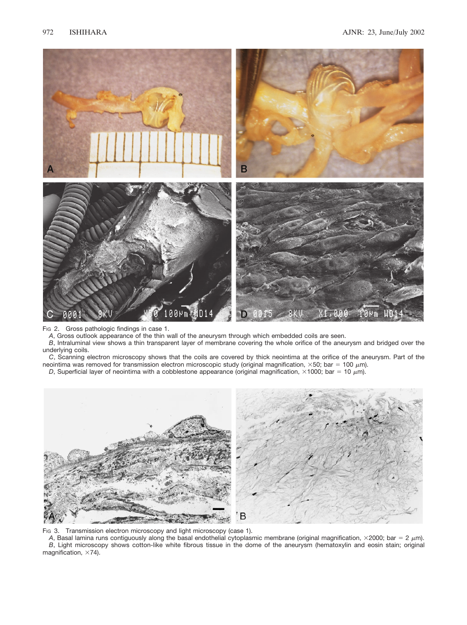

Fig 2. Gross pathologic findings in case 1.

*A*, Gross outlook appearance of the thin wall of the aneurysm through which embedded coils are seen.

*B*, Intraluminal view shows a thin transparent layer of membrane covering the whole orifice of the aneurysm and bridged over the underlying coils.

*C*, Scanning electron microscopy shows that the coils are covered by thick neointima at the orifice of the aneurysm. Part of the neointima was removed for transmission electron microscopic study (original magnification,  $\times$ 50; bar = 100  $\mu$ m).

*D*, Superficial layer of neointima with a cobblestone appearance (original magnification,  $\times$ 1000; bar = 10  $\mu$ m).



Fig 3. Transmission electron microscopy and light microscopy (case 1).

*A*, Basal lamina runs contiguously along the basal endothelial cytoplasmic membrane (original magnification,  $\times$ 2000; bar = 2  $\mu$ m). *B*, Light microscopy shows cotton-like white fibrous tissue in the dome of the aneurysm (hematoxylin and eosin stain; original magnification,  $\times$ 74).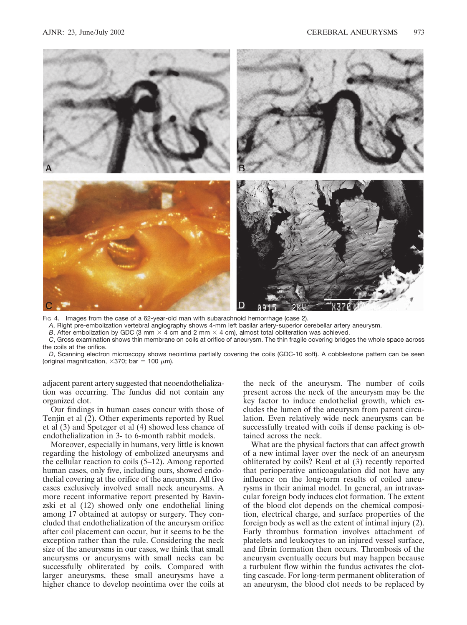

Fig 4. Images from the case of a 62-year-old man with subarachnoid hemorrhage (case 2).

*A*, Right pre-embolization vertebral angiography shows 4-mm left basilar artery-superior cerebellar artery aneurysm.

*B*, After embolization by GDC (3 mm  $\times$  4 cm and 2 mm  $\times$  4 cm), almost total obliteration was achieved.

*C*, Gross examination shows thin membrane on coils at orifice of aneurysm. The thin fragile covering bridges the whole space across the coils at the orifice.

*D*, Scanning electron microscopy shows neointima partially covering the coils (GDC-10 soft). A cobblestone pattern can be seen (original magnification,  $\times 370$ ; bar = 100  $\mu$ m).

adjacent parent artery suggested that neoendothelialization was occurring. The fundus did not contain any organized clot.

Our findings in human cases concur with those of Tenjin et al (2). Other experiments reported by Ruel et al (3) and Spetzger et al (4) showed less chance of endothelialization in 3- to 6-month rabbit models.

Moreover, especially in humans, very little is known regarding the histology of embolized aneurysms and the cellular reaction to coils (5–12). Among reported human cases, only five, including ours, showed endothelial covering at the orifice of the aneurysm. All five cases exclusively involved small neck aneurysms. A more recent informative report presented by Bavinzski et al (12) showed only one endothelial lining among 17 obtained at autopsy or surgery. They concluded that endothelialization of the aneurysm orifice after coil placement can occur, but it seems to be the exception rather than the rule. Considering the neck size of the aneurysms in our cases, we think that small aneurysms or aneurysms with small necks can be successfully obliterated by coils. Compared with larger aneurysms, these small aneurysms have a higher chance to develop neointima over the coils at

the neck of the aneurysm. The number of coils present across the neck of the aneurysm may be the key factor to induce endothelial growth, which excludes the lumen of the aneurysm from parent circulation. Even relatively wide neck aneurysms can be successfully treated with coils if dense packing is obtained across the neck.

What are the physical factors that can affect growth of a new intimal layer over the neck of an aneurysm obliterated by coils? Reul et al (3) recently reported that perioperative anticoagulation did not have any influence on the long-term results of coiled aneurysms in their animal model. In general, an intravascular foreign body induces clot formation. The extent of the blood clot depends on the chemical composition, electrical charge, and surface properties of the foreign body as well as the extent of intimal injury (2). Early thrombus formation involves attachment of platelets and leukocytes to an injured vessel surface, and fibrin formation then occurs. Thrombosis of the aneurysm eventually occurs but may happen because a turbulent flow within the fundus activates the clotting cascade. For long-term permanent obliteration of an aneurysm, the blood clot needs to be replaced by